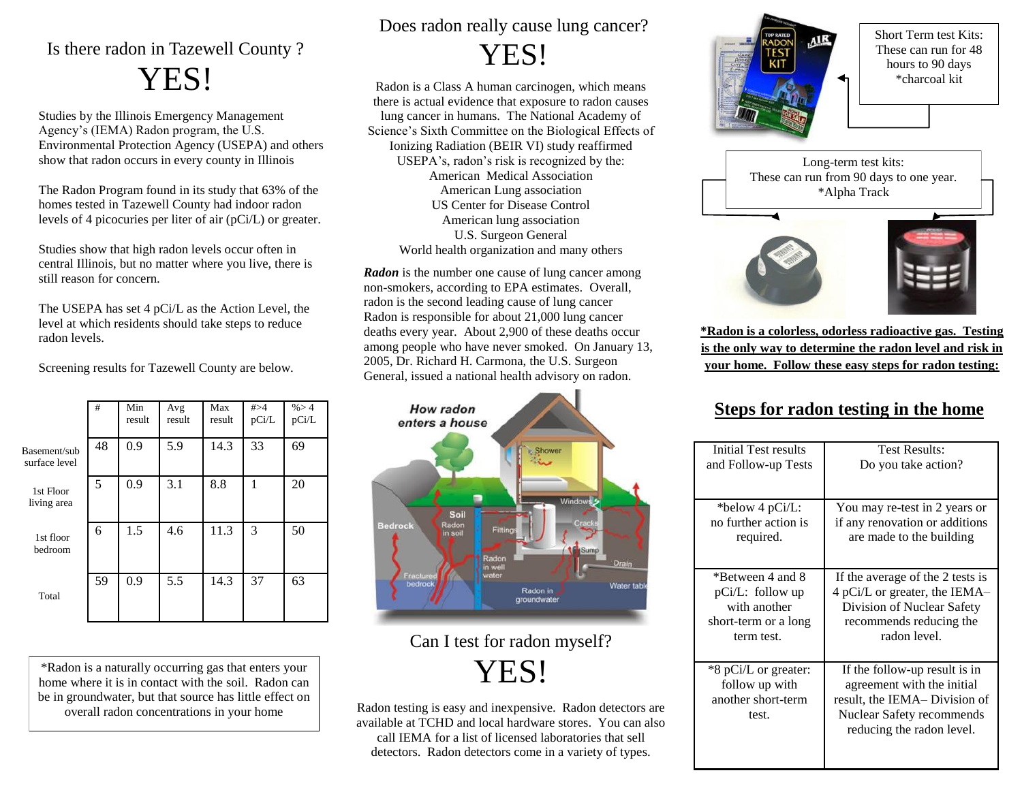## Is there radon in Tazewell County ? YES!

Studies by the Illinois Emergency Management Agency's (IEMA) Radon program, the U.S. Environmental Protection Agency (USEPA) and others show that radon occurs in every county in Illinois

The Radon Program found in its study that 63% of the homes tested in Tazewell County had indoor radon levels of 4 picocuries per liter of air (pCi/L) or greater.

Studies show that high radon levels occur often in central Illinois, but no matter where you live, there is still reason for concern.

The USEPA has set 4 pCi/L as the Action Level, the level at which residents should take steps to reduce radon levels.

Screening results for Tazewell County are below.

|                               | #  | Min<br>result | Avg<br>result | Max<br>result | # > 4<br>pCi/L | % > 4<br>pCi/L |
|-------------------------------|----|---------------|---------------|---------------|----------------|----------------|
| Basement/sub<br>surface level | 48 | 0.9           | 5.9           | 14.3          | 33             | 69             |
| 1st Floor<br>living area      | 5  | 0.9           | 3.1           | 8.8           | 1              | 20             |
| 1st floor<br>bedroom          | 6  | 1.5           | 4.6           | 11.3          | 3              | 50             |
| Total                         | 59 | 0.9           | 5.5           | 14.3          | 37             | 63             |

\*Radon is a naturally occurring gas that enters your home where it is in contact with the soil. Radon can be in groundwater, but that source has little effect on overall radon concentrations in your home

Does radon really cause lung cancer? YES!

Radon is a Class A human carcinogen, which means there is actual evidence that exposure to radon causes lung cancer in humans. The National Academy of Science's Sixth Committee on the Biological Effects of Ionizing Radiation (BEIR VI) study reaffirmed USEPA's, radon's risk is recognized by the: American Medical Association American Lung association US Center for Disease Control American lung association U.S. Surgeon General World health organization and many others

*Radon* is the number one cause of lung cancer among non-smokers, according to EPA estimates. Overall, radon is the second leading cause of lung cancer Radon is responsible for about 21,000 lung cancer deaths every year. About 2,900 of these deaths occur among people who have never smoked. On January 13, 2005, Dr. Richard H. Carmona, the U.S. Surgeon General, issued a national health advisory on radon.



## Can I test for radon myself? YES!

Radon testing is easy and inexpensive. Radon detectors are available at TCHD and local hardware stores. You can also call IEMA for a list of licensed laboratories that sell detectors. Radon detectors come in a variety of types.



Short Term test Kits: These can run for 48 hours to 90 days \*charcoal kit



**\*Radon is a colorless, odorless radioactive gas. Testing is the only way to determine the radon level and risk in your home. Follow these easy steps for radon testing:**

### **Steps for radon testing in the home**

| Initial Test results | <b>Test Results:</b><br>Do you take action?            |  |  |  |
|----------------------|--------------------------------------------------------|--|--|--|
| and Follow-up Tests  |                                                        |  |  |  |
|                      |                                                        |  |  |  |
| *below 4 pCi/L:      | You may re-test in 2 years or                          |  |  |  |
| no further action is | if any renovation or additions                         |  |  |  |
| required.            | are made to the building                               |  |  |  |
|                      |                                                        |  |  |  |
| *Between 4 and 8     | If the average of the 2 tests is                       |  |  |  |
| $pCi/L$ : follow up  | 4 pCi/L or greater, the IEMA-                          |  |  |  |
| with another         | Division of Nuclear Safety                             |  |  |  |
| short-term or a long | recommends reducing the                                |  |  |  |
| term test.           | radon level.                                           |  |  |  |
|                      |                                                        |  |  |  |
| *8 pCi/L or greater: | If the follow-up result is in                          |  |  |  |
| follow up with       | agreement with the initial                             |  |  |  |
| another short-term   | result, the IEMA– Division of                          |  |  |  |
| test.                | Nuclear Safety recommends<br>reducing the radon level. |  |  |  |
|                      |                                                        |  |  |  |